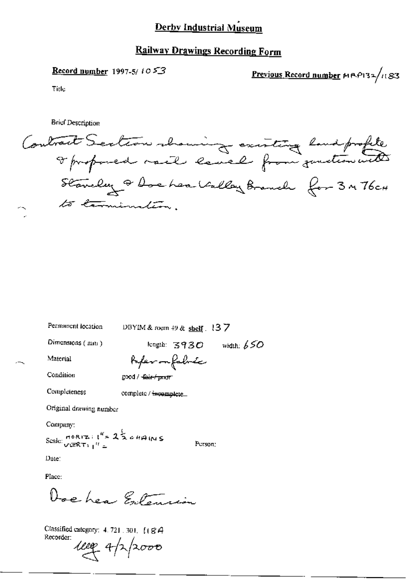### Derby Industrial Museum

#### **Railway Drawings Recording Form**

#### Record number 1997-5/1053

Previous Record number MRP132/1183

Title

**Brief Description** 

Contract Section showing existing land profite Stanchy & Dochea Valley Branch for 3 m 76cH to commination.

Permanent location

DBYIM & room 49 & shelf.  $137$ 

Dimensions (mm)

width:  $650$  $length: 3930$ 

Material

Condition

fo*fer o*n fabric good / <del>-fair / prost</del>

Completeness

complete / incomplete

Original drawing number

Company:

Scale:  $\frac{16R(x)}{\sqrt{2R(x_1)^2}}$  =  $2\frac{1}{2}$   $\approx$   $4\pi$  (N S

Person:

Date:

Place:

Doe hear Entension

Classified category: 4.721.301. [184 Recorder:

 $4000 - 4/2$ 2000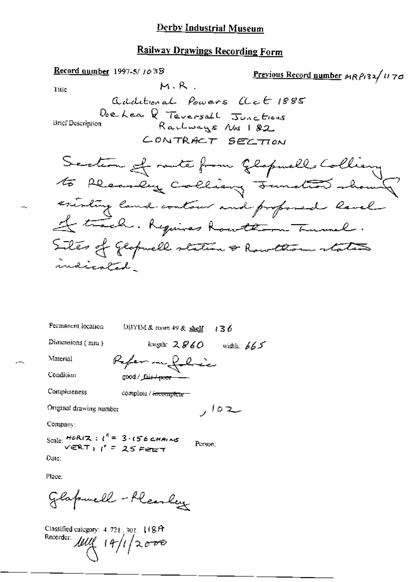#### **Derby Industrial Museum**

#### Railway Drawings Recording Form

Record number 1997-5/1038 Previous Record number 19 P132/1170  $M, R$ Title additional Powers act 1885 Doe Lea Q Teversall Junctions **Brief Description** Rachways Nos 182. CONTRACT SECTION Section of racte from Glopuells Colliery existing land contour and proposed lavel It track. Requires Rowthorn Turnel. Siles of geopmell station & Rowlliam states indicated.

Permanent location DBYIM & room 49 & shelf:  $\sqrt{3}$  6

good / fair / poor

Dimensions (mm)

length:  $2860$  width:  $665$ 

Condition

Material

Completeness

complete / incomplete

Reference

Original drawing number

Company:

Scale:  $HOR(X : l^4 = 3.156 \text{ cm}$  $VERT$  $1$   $I' = 25$  Feb 7

Person:

سلة 10 ر

Date:

Place:

Glapmell - fleashey

Classified category:  $4.721.301.118$  A Recorder:  $\text{null} (14/1) \times 0.000$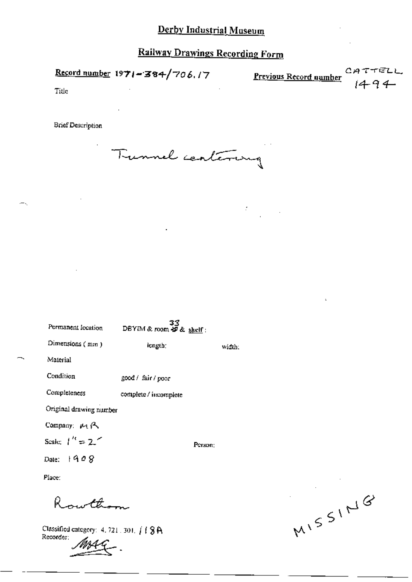# **Railway Drawings Recording Form**

Record number 1971-384/706.17

C<sub>1</sub>4 Previous Record number

Title

**Brief Description** 

Tunnel centering

 $33$ <br>DBYIM & room  $49$  & shelf: Permanent location Dimensions (mm) length; width: Material Condition good / fair / poor Completeness complete / incomplete Original drawing number Company: MA Scale:  $1'' = 2''$ Person: Date:  $1908$ Place:

swttham

Classified category: 4, 721, 301,  $\int$  | 8A Recorder:

MISSING